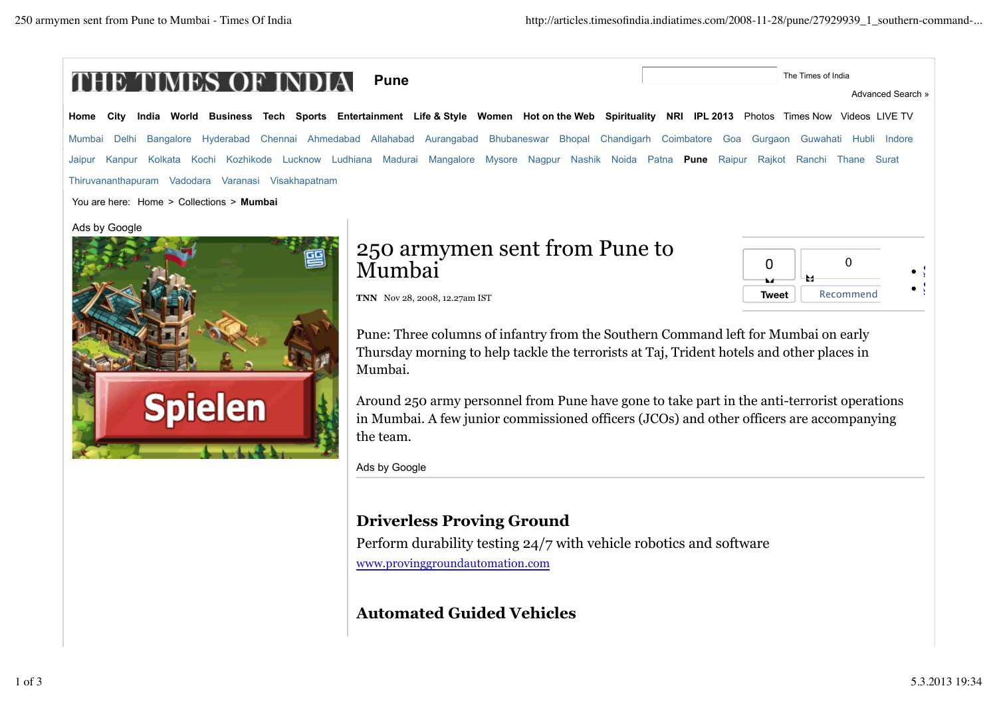

Around 250 army personnel from Pune have gone to take part in the anti-terrorist operations in Mumbai. A few junior commissioned officers (JCOs) and other officers are accompanying the team.

Ads by Google

## **Driverless Proving Ground**

Perform durability testing 24/7 with vehicle robotics and software www.provinggroundautomation.com

**Automated Guided Vehicles**